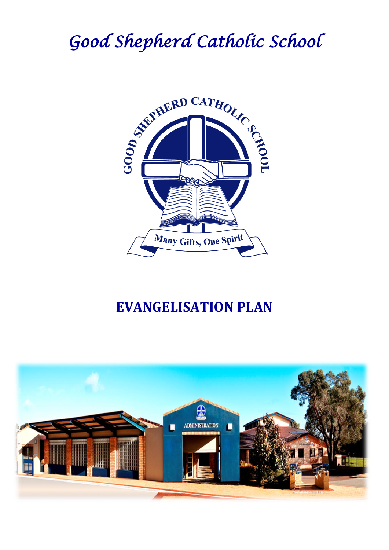# *Good Shepherd Catholic School*



## **EVANGELISATION PLAN**

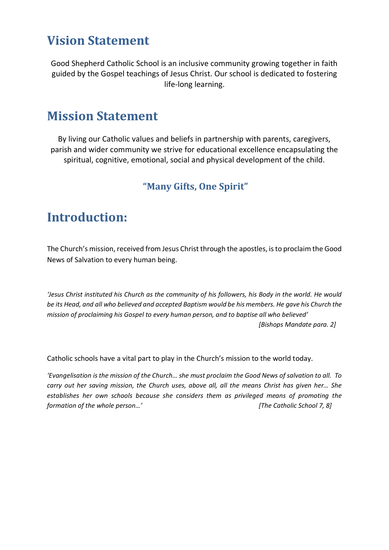#### **Vision Statement**

Good Shepherd Catholic School is an inclusive community growing together in faith guided by the Gospel teachings of Jesus Christ. Our school is dedicated to fostering life-long learning.

#### **Mission Statement**

By living our Catholic values and beliefs in partnership with parents, caregivers, parish and wider community we strive for educational excellence encapsulating the spiritual, cognitive, emotional, social and physical development of the child.

#### **"Many Gifts, One Spirit"**

#### **Introduction:**

The Church's mission, received from Jesus Christ through the apostles, is to proclaim the Good News of Salvation to every human being.

*'Jesus Christ instituted his Church as the community of his followers, his Body in the world. He would be its Head, and all who believed and accepted Baptism would be his members. He gave his Church the mission of proclaiming his Gospel to every human person, and to baptise all who believed' [Bishops Mandate para. 2]*

Catholic schools have a vital part to play in the Church's mission to the world today.

*'Evangelisation is the mission of the Church… she must proclaim the Good News of salvation to all. To carry out her saving mission, the Church uses, above all, all the means Christ has given her… She establishes her own schools because she considers them as privileged means of promoting the formation of the whole person…' [The Catholic School 7, 8]*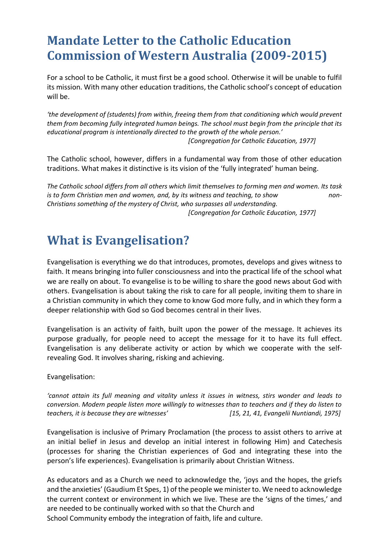#### **Mandate Letter to the Catholic Education Commission of Western Australia (2009-2015)**

For a school to be Catholic, it must first be a good school. Otherwise it will be unable to fulfil its mission. With many other education traditions, the Catholic school's concept of education will be.

*'the development of (students) from within, freeing them from that conditioning which would prevent them from becoming fully integrated human beings. The school must begin from the principle that its educational program is intentionally directed to the growth of the whole person.' [Congregation for Catholic Education, 1977]*

The Catholic school, however, differs in a fundamental way from those of other education traditions. What makes it distinctive is its vision of the 'fully integrated' human being.

*The Catholic school differs from all others which limit themselves to forming men and women. Its task is to form Christian men and women, and, by its witness and teaching, to show non-Christians something of the mystery of Christ, who surpasses all understanding. [Congregation for Catholic Education, 1977]*

#### **What is Evangelisation?**

Evangelisation is everything we do that introduces, promotes, develops and gives witness to faith. It means bringing into fuller consciousness and into the practical life of the school what we are really on about. To evangelise is to be willing to share the good news about God with others. Evangelisation is about taking the risk to care for all people, inviting them to share in a Christian community in which they come to know God more fully, and in which they form a deeper relationship with God so God becomes central in their lives.

Evangelisation is an activity of faith, built upon the power of the message. It achieves its purpose gradually, for people need to accept the message for it to have its full effect. Evangelisation is any deliberate activity or action by which we cooperate with the selfrevealing God. It involves sharing, risking and achieving.

Evangelisation:

*'cannot attain its full meaning and vitality unless it issues in witness, stirs wonder and leads to conversion. Modern people listen more willingly to witnesses than to teachers and if they do listen to teachers, it is because they are witnesses' [15, 21, 41, Evangelii Nuntiandi, 1975]*

Evangelisation is inclusive of Primary Proclamation (the process to assist others to arrive at an initial belief in Jesus and develop an initial interest in following Him) and Catechesis (processes for sharing the Christian experiences of God and integrating these into the person's life experiences). Evangelisation is primarily about Christian Witness.

As educators and as a Church we need to acknowledge the, 'joys and the hopes, the griefs and the anxieties' (Gaudium Et Spes, 1) of the people we minister to. We need to acknowledge the current context or environment in which we live. These are the 'signs of the times,' and are needed to be continually worked with so that the Church and School Community embody the integration of faith, life and culture.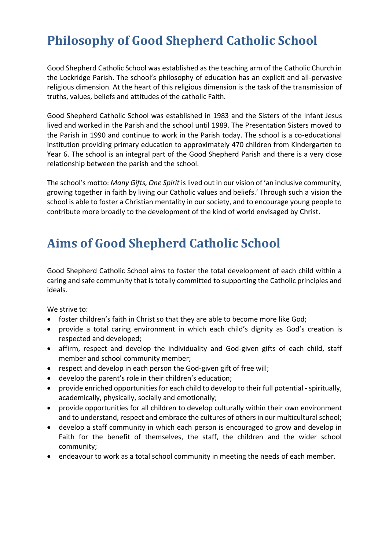### **Philosophy of Good Shepherd Catholic School**

Good Shepherd Catholic School was established as the teaching arm of the Catholic Church in the Lockridge Parish. The school's philosophy of education has an explicit and all-pervasive religious dimension. At the heart of this religious dimension is the task of the transmission of truths, values, beliefs and attitudes of the catholic Faith.

Good Shepherd Catholic School was established in 1983 and the Sisters of the Infant Jesus lived and worked in the Parish and the school until 1989. The Presentation Sisters moved to the Parish in 1990 and continue to work in the Parish today. The school is a co-educational institution providing primary education to approximately 470 children from Kindergarten to Year 6. The school is an integral part of the Good Shepherd Parish and there is a very close relationship between the parish and the school.

The school's motto: *Many Gifts, One Spirit* is lived out in our vision of 'an inclusive community, growing together in faith by living our Catholic values and beliefs.' Through such a vision the school is able to foster a Christian mentality in our society, and to encourage young people to contribute more broadly to the development of the kind of world envisaged by Christ.

#### **Aims of Good Shepherd Catholic School**

Good Shepherd Catholic School aims to foster the total development of each child within a caring and safe community that is totally committed to supporting the Catholic principles and ideals.

We strive to:

- foster children's faith in Christ so that they are able to become more like God;
- provide a total caring environment in which each child's dignity as God's creation is respected and developed;
- affirm, respect and develop the individuality and God-given gifts of each child, staff member and school community member;
- respect and develop in each person the God-given gift of free will;
- develop the parent's role in their children's education;
- provide enriched opportunities for each child to develop to their full potential -spiritually, academically, physically, socially and emotionally;
- provide opportunities for all children to develop culturally within their own environment and to understand, respect and embrace the cultures of others in our multicultural school;
- develop a staff community in which each person is encouraged to grow and develop in Faith for the benefit of themselves, the staff, the children and the wider school community;
- endeavour to work as a total school community in meeting the needs of each member.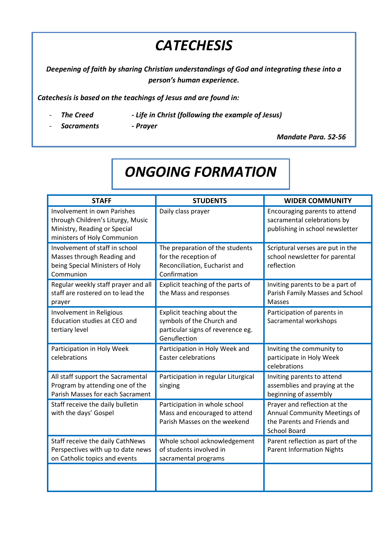## *CATECHESIS*

*Deepening of faith by sharing Christian understandings of God and integrating these into a person's human experience.*

*Catechesis is based on the teachings of Jesus and are found in:*

- 
- The Creed **-** Life in Christ (following the example of Jesus)
- *Sacraments - Prayer*

*Mandate Para. 52-56*

## *ONGOING FORMATION*

| <b>STAFF</b>                                                                                                                           | <b>STUDENTS</b>                                                                                               | <b>WIDER COMMUNITY</b>                                                                                             |
|----------------------------------------------------------------------------------------------------------------------------------------|---------------------------------------------------------------------------------------------------------------|--------------------------------------------------------------------------------------------------------------------|
| <b>Involvement in own Parishes</b><br>through Children's Liturgy, Music<br>Ministry, Reading or Special<br>ministers of Holy Communion | Daily class prayer                                                                                            | Encouraging parents to attend<br>sacramental celebrations by<br>publishing in school newsletter                    |
| Involvement of staff in school<br>Masses through Reading and<br>being Special Ministers of Holy<br>Communion                           | The preparation of the students<br>for the reception of<br>Reconciliation, Eucharist and<br>Confirmation      | Scriptural verses are put in the<br>school newsletter for parental<br>reflection                                   |
| Regular weekly staff prayer and all<br>staff are rostered on to lead the<br>prayer                                                     | Explicit teaching of the parts of<br>the Mass and responses                                                   | Inviting parents to be a part of<br>Parish Family Masses and School<br><b>Masses</b>                               |
| Involvement in Religious<br><b>Education studies at CEO and</b><br>tertiary level                                                      | Explicit teaching about the<br>symbols of the Church and<br>particular signs of reverence eg.<br>Genuflection | Participation of parents in<br>Sacramental workshops                                                               |
| Participation in Holy Week<br>celebrations                                                                                             | Participation in Holy Week and<br><b>Easter celebrations</b>                                                  | Inviting the community to<br>participate in Holy Week<br>celebrations                                              |
| All staff support the Sacramental<br>Program by attending one of the<br>Parish Masses for each Sacrament                               | Participation in regular Liturgical<br>singing                                                                | Inviting parents to attend<br>assemblies and praying at the<br>beginning of assembly                               |
| Staff receive the daily bulletin<br>with the days' Gospel                                                                              | Participation in whole school<br>Mass and encouraged to attend<br>Parish Masses on the weekend                | Prayer and reflection at the<br>Annual Community Meetings of<br>the Parents and Friends and<br><b>School Board</b> |
| Staff receive the daily CathNews<br>Perspectives with up to date news<br>on Catholic topics and events                                 | Whole school acknowledgement<br>of students involved in<br>sacramental programs                               | Parent reflection as part of the<br><b>Parent Information Nights</b>                                               |
|                                                                                                                                        |                                                                                                               |                                                                                                                    |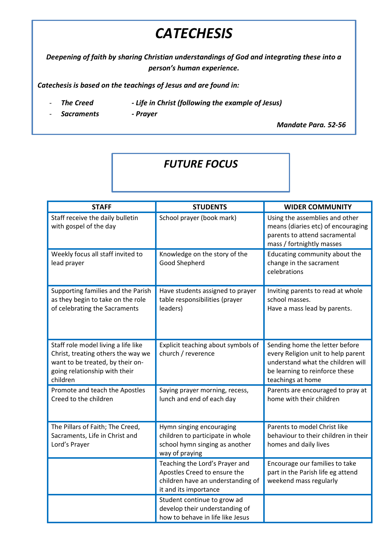## *CATECHESIS*

*Deepening of faith by sharing Christian understandings of God and integrating these into a person's human experience.*

*Catechesis is based on the teachings of Jesus and are found in:*

- *The Creed - Life in Christ (following the example of Jesus)*
- *Sacraments - Prayer*

*Mandate Para. 52-56*

#### *FUTURE FOCUS*

| <b>STAFF</b>                                                                                                                                               | <b>STUDENTS</b>                                                                                                              | <b>WIDER COMMUNITY</b>                                                                                                                                           |
|------------------------------------------------------------------------------------------------------------------------------------------------------------|------------------------------------------------------------------------------------------------------------------------------|------------------------------------------------------------------------------------------------------------------------------------------------------------------|
| Staff receive the daily bulletin<br>with gospel of the day                                                                                                 | School prayer (book mark)                                                                                                    | Using the assemblies and other<br>means (diaries etc) of encouraging<br>parents to attend sacramental<br>mass / fortnightly masses                               |
| Weekly focus all staff invited to<br>lead prayer                                                                                                           | Knowledge on the story of the<br>Good Shepherd                                                                               | Educating community about the<br>change in the sacrament<br>celebrations                                                                                         |
| Supporting families and the Parish<br>as they begin to take on the role<br>of celebrating the Sacraments                                                   | Have students assigned to prayer<br>table responsibilities (prayer<br>leaders)                                               | Inviting parents to read at whole<br>school masses.<br>Have a mass lead by parents.                                                                              |
| Staff role model living a life like<br>Christ, treating others the way we<br>want to be treated, by their on-<br>going relationship with their<br>children | Explicit teaching about symbols of<br>church / reverence                                                                     | Sending home the letter before<br>every Religion unit to help parent<br>understand what the children will<br>be learning to reinforce these<br>teachings at home |
| Promote and teach the Apostles<br>Creed to the children                                                                                                    | Saying prayer morning, recess,<br>lunch and end of each day                                                                  | Parents are encouraged to pray at<br>home with their children                                                                                                    |
| The Pillars of Faith; The Creed,<br>Sacraments, Life in Christ and<br>Lord's Prayer                                                                        | Hymn singing encouraging<br>children to participate in whole<br>school hymn singing as another<br>way of praying             | Parents to model Christ like<br>behaviour to their children in their<br>homes and daily lives                                                                    |
|                                                                                                                                                            | Teaching the Lord's Prayer and<br>Apostles Creed to ensure the<br>children have an understanding of<br>it and its importance | Encourage our families to take<br>part in the Parish life eg attend<br>weekend mass regularly                                                                    |
|                                                                                                                                                            | Student continue to grow ad<br>develop their understanding of<br>how to behave in life like Jesus                            |                                                                                                                                                                  |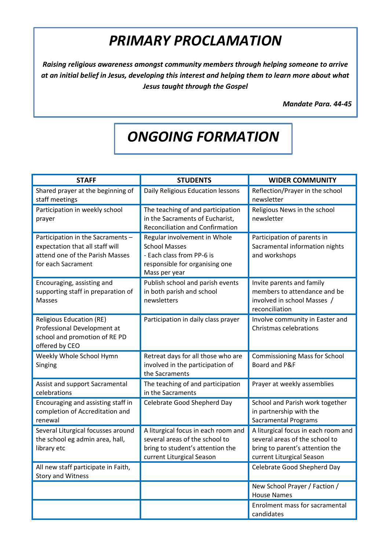## *PRIMARY PROCLAMATION*

*Raising religious awareness amongst community members through helping someone to arrive at an initial belief in Jesus, developing this interest and helping them to learn more about what Jesus taught through the Gospel*

*Mandate Para. 44-45*

## *ONGOING FORMATION*

| <b>STAFF</b>                                                                                                                  | <b>STUDENTS</b>                                                                                                                        | <b>WIDER COMMUNITY</b>                                                                                                                |
|-------------------------------------------------------------------------------------------------------------------------------|----------------------------------------------------------------------------------------------------------------------------------------|---------------------------------------------------------------------------------------------------------------------------------------|
| Shared prayer at the beginning of<br>staff meetings                                                                           | Daily Religious Education lessons                                                                                                      | Reflection/Prayer in the school<br>newsletter                                                                                         |
| Participation in weekly school<br>prayer                                                                                      | The teaching of and participation<br>in the Sacraments of Eucharist,<br><b>Reconciliation and Confirmation</b>                         | Religious News in the school<br>newsletter                                                                                            |
| Participation in the Sacraments -<br>expectation that all staff will<br>attend one of the Parish Masses<br>for each Sacrament | Regular involvement in Whole<br><b>School Masses</b><br>- Each class from PP-6 is<br>responsible for organising one<br>Mass per year   | Participation of parents in<br>Sacramental information nights<br>and workshops                                                        |
| Encouraging, assisting and<br>supporting staff in preparation of<br>Masses                                                    | Publish school and parish events<br>in both parish and school<br>newsletters                                                           | Invite parents and family<br>members to attendance and be<br>involved in school Masses /<br>reconciliation                            |
| <b>Religious Education (RE)</b><br>Professional Development at<br>school and promotion of RE PD<br>offered by CEO             | Participation in daily class prayer                                                                                                    | Involve community in Easter and<br><b>Christmas celebrations</b>                                                                      |
| Weekly Whole School Hymn<br>Singing                                                                                           | Retreat days for all those who are<br>involved in the participation of<br>the Sacraments                                               | <b>Commissioning Mass for School</b><br>Board and P&F                                                                                 |
| Assist and support Sacramental<br>celebrations                                                                                | The teaching of and participation<br>in the Sacraments                                                                                 | Prayer at weekly assemblies                                                                                                           |
| Encouraging and assisting staff in<br>completion of Accreditation and<br>renewal                                              | Celebrate Good Shepherd Day                                                                                                            | School and Parish work together<br>in partnership with the<br><b>Sacramental Programs</b>                                             |
| Several Liturgical focusses around<br>the school eg admin area, hall,<br>library etc                                          | A liturgical focus in each room and<br>several areas of the school to<br>bring to student's attention the<br>current Liturgical Season | A liturgical focus in each room and<br>several areas of the school to<br>bring to parent's attention the<br>current Liturgical Season |
| All new staff participate in Faith,<br>Story and Witness                                                                      |                                                                                                                                        | Celebrate Good Shepherd Day                                                                                                           |
|                                                                                                                               |                                                                                                                                        | New School Prayer / Faction /<br><b>House Names</b>                                                                                   |
|                                                                                                                               |                                                                                                                                        | Enrolment mass for sacramental<br>candidates                                                                                          |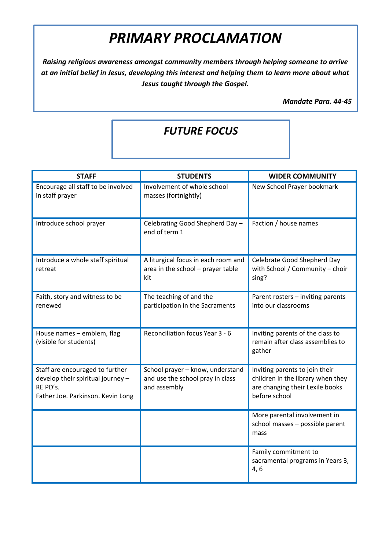## *PRIMARY PROCLAMATION*

*Raising religious awareness amongst community members through helping someone to arrive at an initial belief in Jesus, developing this interest and helping them to learn more about what Jesus taught through the Gospel.*

*Mandate Para. 44-45*

#### *FUTURE FOCUS*

| <b>STAFF</b>                                                                                                          | <b>STUDENTS</b>                                                                      | <b>WIDER COMMUNITY</b>                                                                                                  |
|-----------------------------------------------------------------------------------------------------------------------|--------------------------------------------------------------------------------------|-------------------------------------------------------------------------------------------------------------------------|
| Encourage all staff to be involved<br>in staff prayer                                                                 | Involvement of whole school<br>masses (fortnightly)                                  | New School Prayer bookmark                                                                                              |
| Introduce school prayer                                                                                               | Celebrating Good Shepherd Day -<br>end of term 1                                     | Faction / house names                                                                                                   |
| Introduce a whole staff spiritual<br>retreat                                                                          | A liturgical focus in each room and<br>area in the school - prayer table<br>kit      | Celebrate Good Shepherd Day<br>with School / Community - choir<br>sing?                                                 |
| Faith, story and witness to be<br>renewed                                                                             | The teaching of and the<br>participation in the Sacraments                           | Parent rosters - inviting parents<br>into our classrooms                                                                |
| House names - emblem, flag<br>(visible for students)                                                                  | Reconciliation focus Year 3 - 6                                                      | Inviting parents of the class to<br>remain after class assemblies to<br>gather                                          |
| Staff are encouraged to further<br>develop their spiritual journey -<br>RE PD's.<br>Father Joe. Parkinson. Kevin Long | School prayer - know, understand<br>and use the school pray in class<br>and assembly | Inviting parents to join their<br>children in the library when they<br>are changing their Lexile books<br>before school |
|                                                                                                                       |                                                                                      | More parental involvement in<br>school masses - possible parent<br>mass                                                 |
|                                                                                                                       |                                                                                      | Family commitment to<br>sacramental programs in Years 3,<br>4,6                                                         |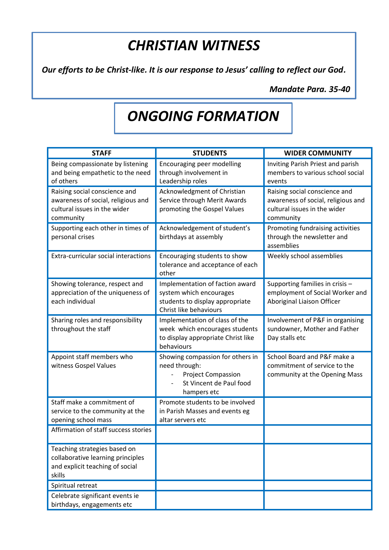### *CHRISTIAN WITNESS*

*Our efforts to be Christ-like. It is our response to Jesus' calling to reflect our God.*

*Mandate Para. 35-40*

## *ONGOING FORMATION*

| <b>STAFF</b>                                                                                                     | <b>STUDENTS</b>                                                                                                          | <b>WIDER COMMUNITY</b>                                                                                           |
|------------------------------------------------------------------------------------------------------------------|--------------------------------------------------------------------------------------------------------------------------|------------------------------------------------------------------------------------------------------------------|
| Being compassionate by listening<br>and being empathetic to the need<br>of others                                | Encouraging peer modelling<br>through involvement in<br>Leadership roles                                                 | Inviting Parish Priest and parish<br>members to various school social<br>events                                  |
| Raising social conscience and<br>awareness of social, religious and<br>cultural issues in the wider<br>community | Acknowledgment of Christian<br>Service through Merit Awards<br>promoting the Gospel Values                               | Raising social conscience and<br>awareness of social, religious and<br>cultural issues in the wider<br>community |
| Supporting each other in times of<br>personal crises                                                             | Acknowledgement of student's<br>birthdays at assembly                                                                    | Promoting fundraising activities<br>through the newsletter and<br>assemblies                                     |
| Extra-curricular social interactions                                                                             | Encouraging students to show<br>tolerance and acceptance of each<br>other                                                | Weekly school assemblies                                                                                         |
| Showing tolerance, respect and<br>appreciation of the uniqueness of<br>each individual                           | Implementation of faction award<br>system which encourages<br>students to display appropriate<br>Christ like behaviours  | Supporting families in crisis -<br>employment of Social Worker and<br>Aboriginal Liaison Officer                 |
| Sharing roles and responsibility<br>throughout the staff                                                         | Implementation of class of the<br>week which encourages students<br>to display appropriate Christ like<br>behaviours     | Involvement of P&F in organising<br>sundowner, Mother and Father<br>Day stalls etc                               |
| Appoint staff members who<br>witness Gospel Values                                                               | Showing compassion for others in<br>need through:<br><b>Project Compassion</b><br>St Vincent de Paul food<br>hampers etc | School Board and P&F make a<br>commitment of service to the<br>community at the Opening Mass                     |
| Staff make a commitment of<br>service to the community at the<br>opening school mass                             | Promote students to be involved<br>in Parish Masses and events eg<br>altar servers etc                                   |                                                                                                                  |
| Affirmation of staff success stories                                                                             |                                                                                                                          |                                                                                                                  |
| Teaching strategies based on<br>collaborative learning principles<br>and explicit teaching of social<br>skills   |                                                                                                                          |                                                                                                                  |
| Spiritual retreat                                                                                                |                                                                                                                          |                                                                                                                  |
| Celebrate significant events ie<br>birthdays, engagements etc                                                    |                                                                                                                          |                                                                                                                  |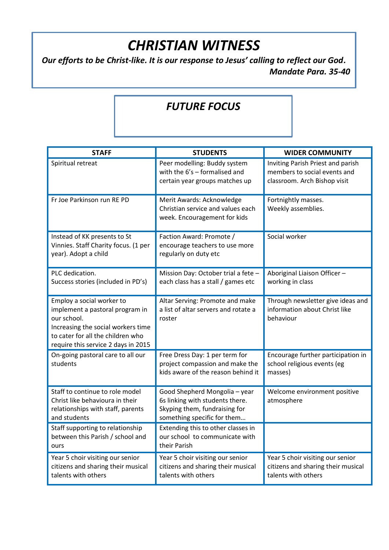## *CHRISTIAN WITNESS*

*Our efforts to be Christ-like. It is our response to Jesus' calling to reflect our God. Mandate Para. 35-40*

#### *FUTURE FOCUS*

| <b>STAFF</b>                                                                                                                                                                                  | <b>STUDENTS</b>                                                                                                                  | <b>WIDER COMMUNITY</b>                                                                            |
|-----------------------------------------------------------------------------------------------------------------------------------------------------------------------------------------------|----------------------------------------------------------------------------------------------------------------------------------|---------------------------------------------------------------------------------------------------|
| Spiritual retreat                                                                                                                                                                             | Peer modelling: Buddy system<br>with the $6's$ – formalised and<br>certain year groups matches up                                | Inviting Parish Priest and parish<br>members to social events and<br>classroom. Arch Bishop visit |
| Fr Joe Parkinson run RE PD                                                                                                                                                                    | Merit Awards: Acknowledge<br>Christian service and values each<br>week. Encouragement for kids                                   | Fortnightly masses.<br>Weekly assemblies.                                                         |
| Instead of KK presents to St<br>Vinnies. Staff Charity focus. (1 per<br>year). Adopt a child                                                                                                  | Faction Award: Promote /<br>encourage teachers to use more<br>regularly on duty etc                                              | Social worker                                                                                     |
| PLC dedication.<br>Success stories (included in PD's)                                                                                                                                         | Mission Day: October trial a fete -<br>each class has a stall / games etc                                                        | Aboriginal Liaison Officer-<br>working in class                                                   |
| Employ a social worker to<br>implement a pastoral program in<br>our school.<br>Increasing the social workers time<br>to cater for all the children who<br>require this service 2 days in 2015 | Altar Serving: Promote and make<br>a list of altar servers and rotate a<br>roster                                                | Through newsletter give ideas and<br>information about Christ like<br>behaviour                   |
| On-going pastoral care to all our<br>students                                                                                                                                                 | Free Dress Day: 1 per term for<br>project compassion and make the<br>kids aware of the reason behind it                          | Encourage further participation in<br>school religious events (eg<br>masses)                      |
| Staff to continue to role model<br>Christ like behavioura in their<br>relationships with staff, parents<br>and students                                                                       | Good Shepherd Mongolia - year<br>6s linking with students there.<br>Skyping them, fundraising for<br>something specific for them | Welcome environment positive<br>atmosphere                                                        |
| Staff supporting to relationship<br>between this Parish / school and<br>ours                                                                                                                  | Extending this to other classes in<br>our school to communicate with<br>their Parish                                             |                                                                                                   |
| Year 5 choir visiting our senior<br>citizens and sharing their musical<br>talents with others                                                                                                 | Year 5 choir visiting our senior<br>citizens and sharing their musical<br>talents with others                                    | Year 5 choir visiting our senior<br>citizens and sharing their musical<br>talents with others     |